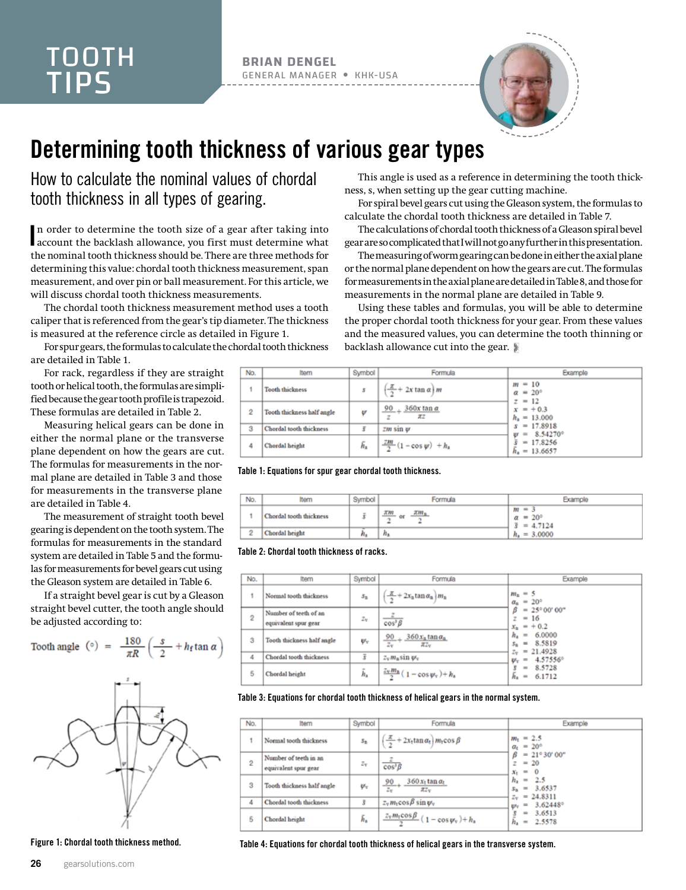## TOOTH TIPS

**BRIAN DENGEL** GENERAL MANAGER KHK-USA



## Determining tooth thickness of various gear types

How to calculate the nominal values of chordal tooth thickness in all types of gearing.

In order to determine the tooth size of a gear after taking into account the backlash allowance, you first must determine what account the backlash allowance, you first must determine what the nominal tooth thickness should be. There are three methods for determining this value: chordal tooth thickness measurement, span measurement, and over pin or ball measurement. For this article, we will discuss chordal tooth thickness measurements.

The chordal tooth thickness measurement method uses a tooth caliper that is referenced from the gear's tip diameter. The thickness is measured at the reference circle as detailed in Figure 1.

For spur gears, the formulas to calculate the chordal tooth thickness are detailed in Table 1.

For rack, regardless if they are straight tooth or helical tooth, the formulas are simplified because the gear tooth profile is trapezoid. These formulas are detailed in Table 2.

Measuring helical gears can be done in either the normal plane or the transverse plane dependent on how the gears are cut. The formulas for measurements in the normal plane are detailed in Table 3 and those for measurements in the transverse plane are detailed in Table 4.

The measurement of straight tooth bevel gearing is dependent on the tooth system. The formulas for measurements in the standard system are detailed in Table 5 and the formulas for measurements for bevel gears cut using the Gleason system are detailed in Table 6.

If a straight bevel gear is cut by a Gleason straight bevel cutter, the tooth angle should be adjusted according to:

Tooth angle (°) = 
$$
\frac{180}{\pi R} \left( \frac{s}{2} + h_{\rm f} \tan \alpha \right)
$$



Figure 1: Chordal tooth thickness method.

This angle is used as a reference in determining the tooth thickness, s, when setting up the gear cutting machine.

For spiral bevel gears cut using the Gleason system, the formulas to calculate the chordal tooth thickness are detailed in Table 7.

The calculations of chordal tooth thickness of a Gleason spiral bevel gear are so complicated that I will not go any further in this presentation.

The measuring of worm gearing can be done in either the axial plane or the normal plane dependent on how the gears are cut. The formulas for measurements in the axial plane are detailed in Table 8, and those for measurements in the normal plane are detailed in Table 9.

Using these tables and formulas, you will be able to determine the proper chordal tooth thickness for your gear. From these values and the measured values, you can determine the tooth thinning or backlash allowance cut into the gear.

| No. | Item                       | Symbol | Formula                                   | Example                                       |
|-----|----------------------------|--------|-------------------------------------------|-----------------------------------------------|
|     | <b>Tooth thickness</b>     | \$     | $\frac{\pi}{2}$ + 2x tan $\alpha$ ) m     | $m = 10$<br>$\alpha = 20^{\circ}$<br>$z = 12$ |
| 2   | Tooth thickness half angle | ₩      | $360x \tan \alpha$<br>$90_{+}$<br>z<br>πz | $x = +0.3$<br>$h_a = 13.000$                  |
| з   | Chordal tooth thickness    | š      | $2m \sin \psi$                            | $s = 17.8918$<br>$w = 8.54270^{\circ}$        |
| 4   | Chordal height             | ĥ.     | $\frac{2m}{2}(1-\cos \psi) + h_{\alpha}$  | $= 17.8256$<br>$h_a = 13.6657$                |

Table 1: Equations for spur gear chordal tooth thickness.

| No. |                         | Symbol | <b>Formula</b>                        | xamole                                                 |
|-----|-------------------------|--------|---------------------------------------|--------------------------------------------------------|
|     | Chordal tooth thickness |        | <b>XM</b><br>$7.02 -$<br>or<br>-<br>۰ | $m = 3$<br>$\alpha = 20^{\circ}$<br>$\bar{s} = 4.7124$ |
| 2   | Chordal height          |        | $n_{\rm a}$                           | $h_a = 3,0000$                                         |

## Table 2: Chordal tooth thickness of racks.

| No.            | Item                                          | Symbol      | Formula                                                                                  | Example                                                             |
|----------------|-----------------------------------------------|-------------|------------------------------------------------------------------------------------------|---------------------------------------------------------------------|
|                | Normal tooth thickness                        | $s_{\rm n}$ | $\frac{\pi}{2}$ + 2x <sub>n</sub> tan $\alpha_n$ $m_n$                                   | $m_{\rm n} = 5$<br>$\alpha_{\rm n} = 20^{\circ}$                    |
| $\overline{2}$ | Number of teeth of an<br>equivalent spur gear | $z_{\rm v}$ | $\cos^3\beta$                                                                            | $= 25^{\circ}00^{\circ}00^{\circ}$<br>В<br>$z = 16$<br>$x_n = +0.2$ |
| з              | Tooth thickness half angle                    | v.          | $\frac{90}{4}$ $\frac{360 x_{\text{n}} \tan \alpha_{\text{n}}}{2}$<br>$z_v$<br>$\pi z_v$ | $h_a = 6.0000$<br>$s_n = 8.5819$<br>$z_v$ = 21.4928                 |
| 4              | Chordal tooth thickness                       | š           | $z_v m_n \sin \psi_v$                                                                    | $W_T = 4.57556^\circ$                                               |
| 5              | Chordal height                                | ĥ,          | $\frac{Z_v m_a}{2} (1 - \cos \psi_v) + h_a$                                              | 8.5728<br>$=$<br>$= 6.1712$<br>h.                                   |

Table 3: Equations for chordal tooth thickness of helical gears in the normal system.

| No.            | ltem                                          | Symbol      | Formula                                                                           | Example                                             |
|----------------|-----------------------------------------------|-------------|-----------------------------------------------------------------------------------|-----------------------------------------------------|
|                | Normal tooth thickness                        | $S_{\Xi}$   | $\frac{\alpha}{2}$ + 2x <sub>t</sub> tan $\alpha$ <sub>t</sub> ) $m_1 \cos \beta$ | $m_1 = 2.5$<br>$a_t = 20^{\circ}$                   |
| $\mathfrak{D}$ | Number of teeth in an<br>equivalent spur gear | $Z_{\rm T}$ | $cos^3\beta$                                                                      | $\beta$ = 21°30'00"<br>$z = 20$<br>$x_t = 0$        |
| з              | Tooth thickness half angle                    | $\Psi_T$    | $360 x_1 \tan \alpha_1$<br>90.<br>$z_{\rm v}$<br>$\pi z_v$                        | $h_a = 2.5$<br>$s_n = 3.6537$<br>$= 24.8311$<br>Zv. |
| 4              | Chordal tooth thickness                       | 3           | $z_v m_t \cos \beta \sin \psi_v$                                                  | $\mu_V = 3.62448^\circ$                             |
| 5              | Chordal height                                | Б.          | $\frac{z_v m_t \cos \beta}{1 - \cos \psi_y}$ (1 – cos $\psi_y$ ) + $h_b$          | 3.6513<br>$=$<br>$= 2.5578$<br>h.                   |

Table 4: Equations for chordal tooth thickness of helical gears in the transverse system.